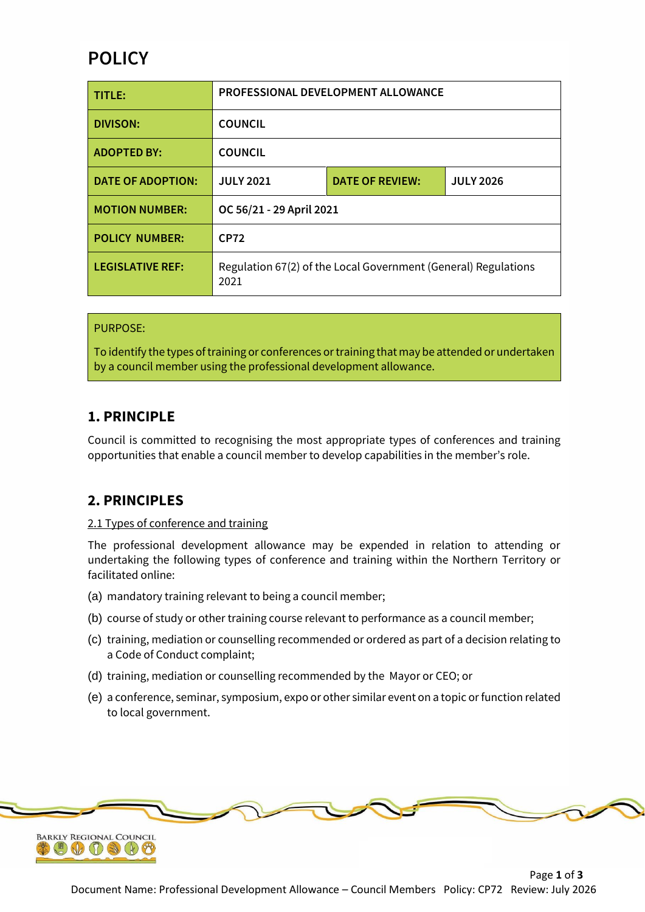# **POLICY**

| TITLE:                   | <b>PROFESSIONAL DEVELOPMENT ALLOWANCE</b>                              |                        |                  |  |
|--------------------------|------------------------------------------------------------------------|------------------------|------------------|--|
| <b>DIVISON:</b>          | <b>COUNCIL</b>                                                         |                        |                  |  |
| <b>ADOPTED BY:</b>       | <b>COUNCIL</b>                                                         |                        |                  |  |
| <b>DATE OF ADOPTION:</b> | <b>JULY 2021</b>                                                       | <b>DATE OF REVIEW:</b> | <b>JULY 2026</b> |  |
| <b>MOTION NUMBER:</b>    | OC 56/21 - 29 April 2021                                               |                        |                  |  |
| <b>POLICY NUMBER:</b>    | <b>CP72</b>                                                            |                        |                  |  |
| <b>LEGISLATIVE REF:</b>  | Regulation 67(2) of the Local Government (General) Regulations<br>2021 |                        |                  |  |

### PURPOSE:

To identify the types of training or conferences or training that may be attended or undertaken by a council member using the professional development allowance.

### **1. PRINCIPLE**

Council is committed to recognising the most appropriate types of conferences and training opportunities that enable a council member to develop capabilities in the member's role.

### **2. PRINCIPLES**

#### 2.1 Types of conference and training

The professional development allowance may be expended in relation to attending or undertaking the following types of conference and training within the Northern Territory or facilitated online:

- (a) mandatory training relevant to being a council member;
- (b) course of study or other training course relevant to performance as a council member;
- (c) training, mediation or counselling recommended or ordered as part of a decision relating to a Code of Conduct complaint;
- (d) training, mediation or counselling recommended by the Mayor or CEO; or
- (e) a conference, seminar, symposium, expo or other similar event on a topic or function related to local government.

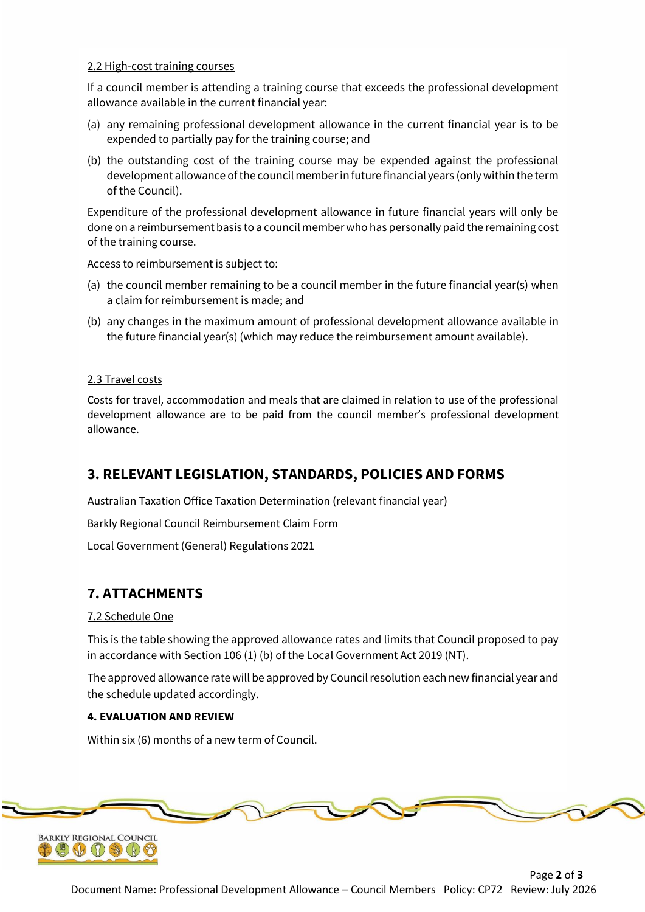#### 2.2 High-cost training courses

If a council member is attending a training course that exceeds the professional development allowance available in the current financial year:

- (a) any remaining professional development allowance in the current financial year is to be expended to partially pay for the training course; and
- (b) the outstanding cost of the training course may be expended against the professional development allowance of the council member in future financial years (only within the term of the Council).

Expenditure of the professional development allowance in future financial years will only be done on a reimbursement basis to a council member who has personally paid the remaining cost of the training course.

Access to reimbursement is subject to:

- (a) the council member remaining to be a council member in the future financial year(s) when a claim for reimbursement is made; and
- (b) any changes in the maximum amount of professional development allowance available in the future financial year(s) (which may reduce the reimbursement amount available).

#### 2.3 Travel costs

Costs for travel, accommodation and meals that are claimed in relation to use of the professional development allowance are to be paid from the council member's professional development allowance.

### **3. RELEVANT LEGISLATION, STANDARDS, POLICIES AND FORMS**

Australian Taxation Office Taxation Determination (relevant financial year)

Barkly Regional Council Reimbursement Claim Form

Local Government (General) Regulations 2021

### **7. ATTACHMENTS**

#### 7.2 Schedule One

This is the table showing the approved allowance rates and limits that Council proposed to pay in accordance with Section 106 (1) (b) of the Local Government Act 2019 (NT).

The approved allowance rate will be approved by Council resolution each new financial year and the schedule updated accordingly.

#### **4. EVALUATION AND REVIEW**

Within six (6) months of a new term of Council.